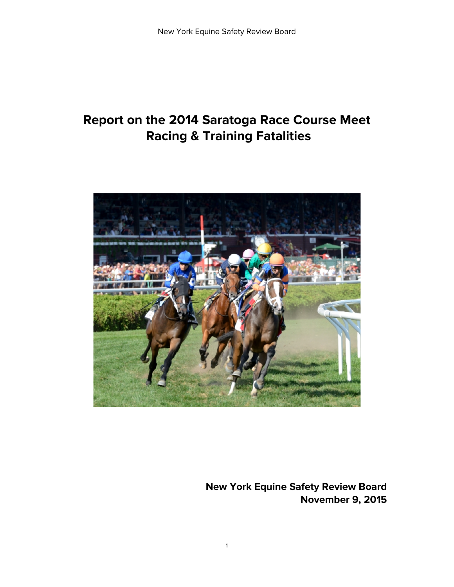# **Report on the 2014 Saratoga Race Course Meet Racing & Training Fatalities**



<span id="page-0-0"></span>**New York Equine Safety Review Board November 9, 2015**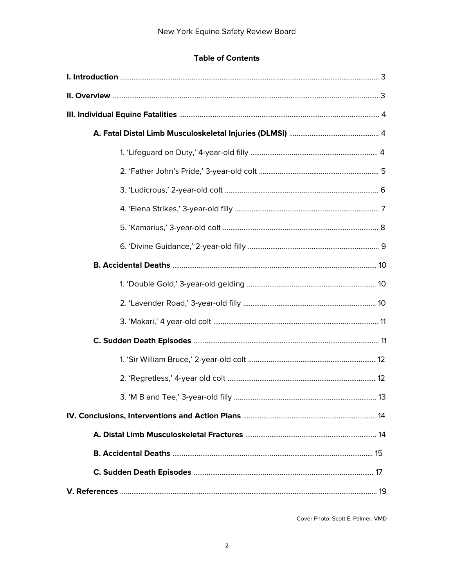# **Table of Contents**

Cover Photo: Scott E. Palmer, VMD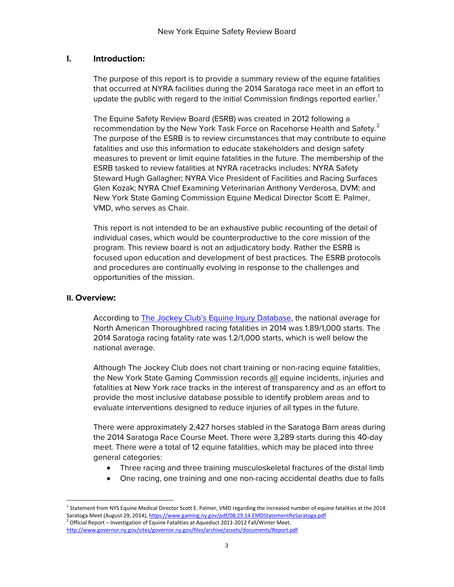## **I. Introduction:**

The purpose of this report is to provide a summary review of the equine fatalities that occurred at NYRA facilities during the 2014 Saratoga race meet in an effort to update the public with regard to the initial Commission findings reported earlier.<sup>[1](#page-0-0)</sup>

The Equine Safety Review Board (ESRB) was created in 2012 following a recommendation by the New York Task Force on Racehorse Health and Safety. $^2$  $^2$ The purpose of the ESRB is to review circumstances that may contribute to equine fatalities and use this information to educate stakeholders and design safety measures to prevent or limit equine fatalities in the future. The membership of the ESRB tasked to review fatalities at NYRA racetracks includes: NYRA Safety Steward Hugh Gallagher; NYRA Vice President of Facilities and Racing Surfaces Glen Kozak; NYRA Chief Examining Veterinarian Anthony Verderosa, DVM; and New York State Gaming Commission Equine Medical Director Scott E. Palmer, VMD, who serves as Chair.

This report is not intended to be an exhaustive public recounting of the detail of individual cases, which would be counterproductive to the core mission of the program. This review board is not an adjudicatory body. Rather the ESRB is focused upon education and development of best practices. The ESRB protocols and procedures are continually evolving in response to the challenges and opportunities of the mission.

#### **II. Overview:**

According to [The Jockey Club's Equine Injury Database,](http://www.jockeyclub.com/default.asp?section=Advocacy&area=10) the national average for North American Thoroughbred racing fatalities in 2014 was 1.89/1,000 starts. The 2014 Saratoga racing fatality rate was 1.2/1,000 starts, which is well below the national average.

Although The Jockey Club does not chart training or non-racing equine fatalities, the New York State Gaming Commission records all equine incidents, injuries and fatalities at New York race tracks in the interest of transparency and as an effort to provide the most inclusive database possible to identify problem areas and to evaluate interventions designed to reduce injuries of all types in the future.

There were approximately 2,427 horses stabled in the Saratoga Barn areas during the 2014 Saratoga Race Course Meet. There were 3,289 starts during this 40-day meet. There were a total of 12 equine fatalities, which may be placed into three general categories:

- Three racing and three training musculoskeletal fractures of the distal limb
- One racing, one training and one non-racing accidental deaths due to falls

<span id="page-2-0"></span><sup>&</sup>lt;sup>1</sup> Statement from NYS Equine Medical Director Scott E. Palmer, VMD regarding the increased number of equine fatalities at the 2014 Saratoga Meet (August 29, 2014)[, https://www.gaming.ny.gov/pdf/08.29.14.EMDStatementReSaratoga.pdf](https://www.gaming.ny.gov/pdf/08.29.14.EMDStatementReSaratoga.pdf) <sup>2</sup> Official Report – Investigation of Equine Fatalities at Aqueduct 2011-2012 Fall/Winter Meet. <http://www.governor.ny.gov/sites/governor.ny.gov/files/archive/assets/documents/Report.pdf>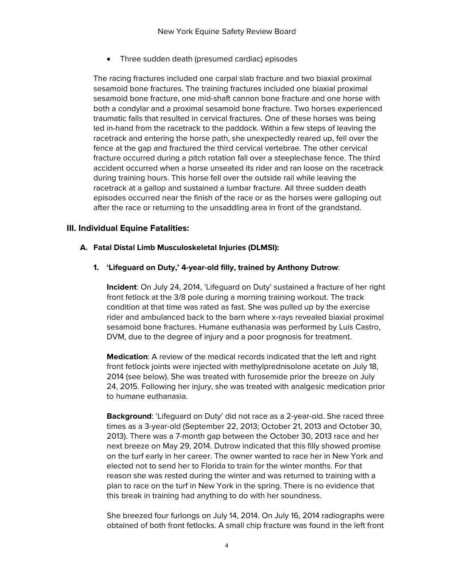• Three sudden death (presumed cardiac) episodes

The racing fractures included one carpal slab fracture and two biaxial proximal sesamoid bone fractures. The training fractures included one biaxial proximal sesamoid bone fracture, one mid-shaft cannon bone fracture and one horse with both a condylar and a proximal sesamoid bone fracture. Two horses experienced traumatic falls that resulted in cervical fractures. One of these horses was being led in-hand from the racetrack to the paddock. Within a few steps of leaving the racetrack and entering the horse path, she unexpectedly reared up, fell over the fence at the gap and fractured the third cervical vertebrae. The other cervical fracture occurred during a pitch rotation fall over a steeplechase fence. The third accident occurred when a horse unseated its rider and ran loose on the racetrack during training hours. This horse fell over the outside rail while leaving the racetrack at a gallop and sustained a lumbar fracture. All three sudden death episodes occurred near the finish of the race or as the horses were galloping out after the race or returning to the unsaddling area in front of the grandstand.

## **III. Individual Equine Fatalities:**

## **A. Fatal Distal Limb Musculoskeletal Injuries (DLMSI):**

**1. 'Lifeguard on Duty,' 4-year-old filly, trained by Anthony Dutrow**:

**Incident**: On July 24, 2014, 'Lifeguard on Duty' sustained a fracture of her right front fetlock at the 3/8 pole during a morning training workout. The track condition at that time was rated as fast. She was pulled up by the exercise rider and ambulanced back to the barn where x-rays revealed biaxial proximal sesamoid bone fractures. Humane euthanasia was performed by Luis Castro, DVM, due to the degree of injury and a poor prognosis for treatment.

**Medication**: A review of the medical records indicated that the left and right front fetlock joints were injected with methylprednisolone acetate on July 18, 2014 (see below). She was treated with furosemide prior the breeze on July 24, 2015. Following her injury, she was treated with analgesic medication prior to humane euthanasia.

**Background**: 'Lifeguard on Duty' did not race as a 2-year-old. She raced three times as a 3-year-old (September 22, 2013; October 21, 2013 and October 30, 2013). There was a 7-month gap between the October 30, 2013 race and her next breeze on May 29, 2014. Dutrow indicated that this filly showed promise on the turf early in her career. The owner wanted to race her in New York and elected not to send her to Florida to train for the winter months. For that reason she was rested during the winter and was returned to training with a plan to race on the turf in New York in the spring. There is no evidence that this break in training had anything to do with her soundness.

She breezed four furlongs on July 14, 2014. On July 16, 2014 radiographs were obtained of both front fetlocks. A small chip fracture was found in the left front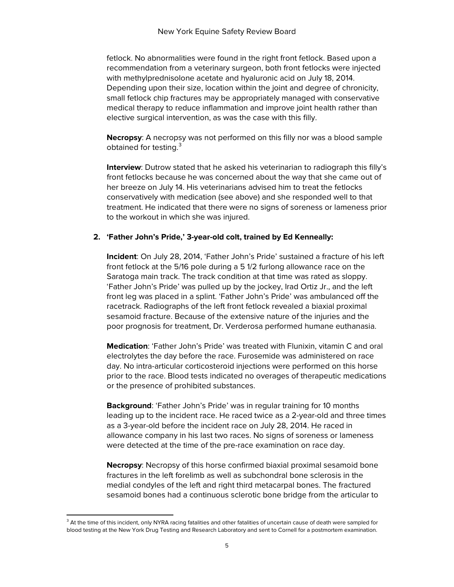fetlock. No abnormalities were found in the right front fetlock. Based upon a recommendation from a veterinary surgeon, both front fetlocks were injected with methylprednisolone acetate and hyaluronic acid on July 18, 2014. Depending upon their size, location within the joint and degree of chronicity, small fetlock chip fractures may be appropriately managed with conservative medical therapy to reduce inflammation and improve joint health rather than elective surgical intervention, as was the case with this filly.

**Necropsy**: A necropsy was not performed on this filly nor was a blood sample obtained for testing.<sup>[3](#page-2-0)</sup>

**Interview**: Dutrow stated that he asked his veterinarian to radiograph this filly's front fetlocks because he was concerned about the way that she came out of her breeze on July 14. His veterinarians advised him to treat the fetlocks conservatively with medication (see above) and she responded well to that treatment. He indicated that there were no signs of soreness or lameness prior to the workout in which she was injured.

## **2. 'Father John's Pride,' 3-year-old colt, trained by Ed Kenneally:**

**Incident**: On July 28, 2014, 'Father John's Pride' sustained a fracture of his left front fetlock at the 5/16 pole during a 5 1/2 furlong allowance race on the Saratoga main track. The track condition at that time was rated as sloppy. 'Father John's Pride' was pulled up by the jockey, Irad Ortiz Jr., and the left front leg was placed in a splint. 'Father John's Pride' was ambulanced off the racetrack. Radiographs of the left front fetlock revealed a biaxial proximal sesamoid fracture. Because of the extensive nature of the injuries and the poor prognosis for treatment, Dr. Verderosa performed humane euthanasia.

**Medication**: 'Father John's Pride' was treated with Flunixin, vitamin C and oral electrolytes the day before the race. Furosemide was administered on race day. No intra-articular corticosteroid injections were performed on this horse prior to the race. Blood tests indicated no overages of therapeutic medications or the presence of prohibited substances.

**Background**: 'Father John's Pride' was in regular training for 10 months leading up to the incident race. He raced twice as a 2-year-old and three times as a 3-year-old before the incident race on July 28, 2014. He raced in allowance company in his last two races. No signs of soreness or lameness were detected at the time of the pre-race examination on race day.

**Necropsy**: Necropsy of this horse confirmed biaxial proximal sesamoid bone fractures in the left forelimb as well as subchondral bone sclerosis in the medial condyles of the left and right third metacarpal bones. The fractured sesamoid bones had a continuous sclerotic bone bridge from the articular to

<span id="page-4-0"></span><sup>&</sup>lt;sup>3</sup> At the time of this incident, only NYRA racing fatalities and other fatalities of uncertain cause of death were sampled for blood testing at the New York Drug Testing and Research Laboratory and sent to Cornell for a postmortem examination.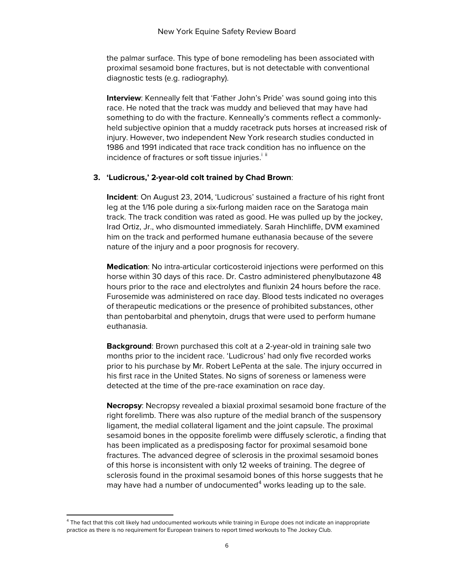the palmar surface. This type of bone remodeling has been associated with proximal sesamoid bone fractures, but is not detectable with conventional diagnostic tests (e.g. radiography).

**Interview**: Kenneally felt that 'Father John's Pride' was sound going into this race. He noted that the track was muddy and believed that may have had something to do with the fracture. Kenneally's comments reflect a commonlyheld subjective opinion that a muddy racetrack puts horses at increased risk of injury. However, two independent New York research studies conducted in 1986 and 1991 indicated that race track condition has no influence on the [i](#page-18-0)ncidence of fractures or soft tissue injuries.<sup>i [ii](#page-18-1)</sup>

#### **3. 'Ludicrous,' 2-year-old colt trained by Chad Brown**:

**Incident**: On August 23, 2014, 'Ludicrous' sustained a fracture of his right front leg at the 1/16 pole during a six-furlong maiden race on the Saratoga main track. The track condition was rated as good. He was pulled up by the jockey, Irad Ortiz, Jr., who dismounted immediately. Sarah Hinchliffe, DVM examined him on the track and performed humane euthanasia because of the severe nature of the injury and a poor prognosis for recovery.

**Medication**: No intra-articular corticosteroid injections were performed on this horse within 30 days of this race. Dr. Castro administered phenylbutazone 48 hours prior to the race and electrolytes and flunixin 24 hours before the race. Furosemide was administered on race day. Blood tests indicated no overages of therapeutic medications or the presence of prohibited substances, other than pentobarbital and phenytoin, drugs that were used to perform humane euthanasia.

**Background**: Brown purchased this colt at a 2-year-old in training sale two months prior to the incident race. 'Ludicrous' had only five recorded works prior to his purchase by Mr. Robert LePenta at the sale. The injury occurred in his first race in the United States. No signs of soreness or lameness were detected at the time of the pre-race examination on race day.

**Necropsy**: Necropsy revealed a biaxial proximal sesamoid bone fracture of the right forelimb. There was also rupture of the medial branch of the suspensory ligament, the medial collateral ligament and the joint capsule. The proximal sesamoid bones in the opposite forelimb were diffusely sclerotic, a finding that has been implicated as a predisposing factor for proximal sesamoid bone fractures. The advanced degree of sclerosis in the proximal sesamoid bones of this horse is inconsistent with only 12 weeks of training. The degree of sclerosis found in the proximal sesamoid bones of this horse suggests that he may have had a number of undocumented $4$  works leading up to the sale.

<span id="page-5-0"></span><sup>&</sup>lt;sup>4</sup> The fact that this colt likely had undocumented workouts while training in Europe does not indicate an inappropriate practice as there is no requirement for European trainers to report timed workouts to The Jockey Club.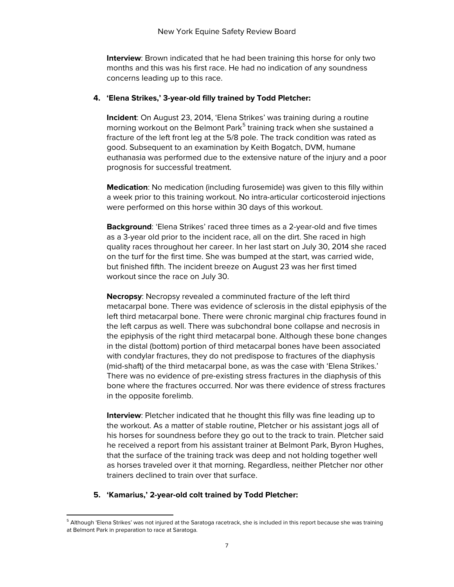**Interview**: Brown indicated that he had been training this horse for only two months and this was his first race. He had no indication of any soundness concerns leading up to this race.

#### **4. 'Elena Strikes,' 3-year-old filly trained by Todd Pletcher:**

**Incident**: On August 23, 2014, 'Elena Strikes' was training during a routine morning workout on the Belmont Park<sup>[5](#page-5-0)</sup> training track when she sustained a fracture of the left front leg at the 5/8 pole. The track condition was rated as good. Subsequent to an examination by Keith Bogatch, DVM, humane euthanasia was performed due to the extensive nature of the injury and a poor prognosis for successful treatment.

**Medication**: No medication (including furosemide) was given to this filly within a week prior to this training workout. No intra-articular corticosteroid injections were performed on this horse within 30 days of this workout.

**Background**: 'Elena Strikes' raced three times as a 2-year-old and five times as a 3-year old prior to the incident race, all on the dirt. She raced in high quality races throughout her career. In her last start on July 30, 2014 she raced on the turf for the first time. She was bumped at the start, was carried wide, but finished fifth. The incident breeze on August 23 was her first timed workout since the race on July 30.

**Necropsy**: Necropsy revealed a comminuted fracture of the left third metacarpal bone. There was evidence of sclerosis in the distal epiphysis of the left third metacarpal bone. There were chronic marginal chip fractures found in the left carpus as well. There was subchondral bone collapse and necrosis in the epiphysis of the right third metacarpal bone. Although these bone changes in the distal (bottom) portion of third metacarpal bones have been associated with condylar fractures, they do not predispose to fractures of the diaphysis (mid-shaft) of the third metacarpal bone, as was the case with 'Elena Strikes.' There was no evidence of pre-existing stress fractures in the diaphysis of this bone where the fractures occurred. Nor was there evidence of stress fractures in the opposite forelimb.

**Interview**: Pletcher indicated that he thought this filly was fine leading up to the workout. As a matter of stable routine, Pletcher or his assistant jogs all of his horses for soundness before they go out to the track to train. Pletcher said he received a report from his assistant trainer at Belmont Park, Byron Hughes, that the surface of the training track was deep and not holding together well as horses traveled over it that morning. Regardless, neither Pletcher nor other trainers declined to train over that surface.

## **5. 'Kamarius,' 2-year-old colt trained by Todd Pletcher:**

<span id="page-6-0"></span><sup>&</sup>lt;sup>5</sup> Although 'Elena Strikes' was not injured at the Saratoga racetrack, she is included in this report because she was training at Belmont Park in preparation to race at Saratoga.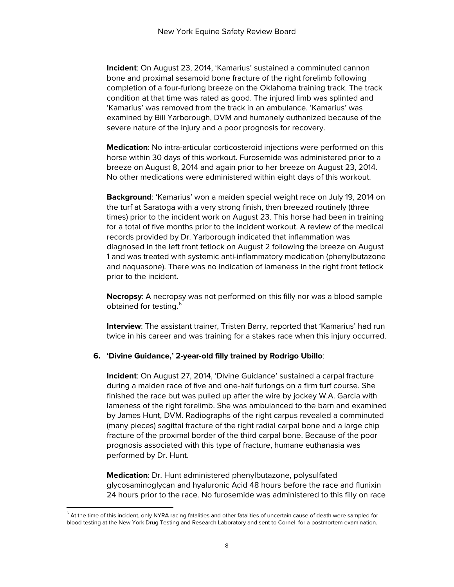**Incident**: On August 23, 2014, 'Kamarius' sustained a comminuted cannon bone and proximal sesamoid bone fracture of the right forelimb following completion of a four-furlong breeze on the Oklahoma training track. The track condition at that time was rated as good. The injured limb was splinted and 'Kamarius' was removed from the track in an ambulance. 'Kamarius' was examined by Bill Yarborough, DVM and humanely euthanized because of the severe nature of the injury and a poor prognosis for recovery.

**Medication**: No intra-articular corticosteroid injections were performed on this horse within 30 days of this workout. Furosemide was administered prior to a breeze on August 8, 2014 and again prior to her breeze on August 23, 2014. No other medications were administered within eight days of this workout.

**Background**: 'Kamarius' won a maiden special weight race on July 19, 2014 on the turf at Saratoga with a very strong finish, then breezed routinely (three times) prior to the incident work on August 23. This horse had been in training for a total of five months prior to the incident workout. A review of the medical records provided by Dr. Yarborough indicated that inflammation was diagnosed in the left front fetlock on August 2 following the breeze on August 1 and was treated with systemic anti-inflammatory medication (phenylbutazone and naquasone). There was no indication of lameness in the right front fetlock prior to the incident.

**Necropsy**: A necropsy was not performed on this filly nor was a blood sample obtained for testing. [6](#page-6-0)

**Interview**: The assistant trainer, Tristen Barry, reported that 'Kamarius' had run twice in his career and was training for a stakes race when this injury occurred.

#### **6. 'Divine Guidance,' 2-year-old filly trained by Rodrigo Ubillo**:

**Incident**: On August 27, 2014, 'Divine Guidance' sustained a carpal fracture during a maiden race of five and one-half furlongs on a firm turf course. She finished the race but was pulled up after the wire by jockey W.A. Garcia with lameness of the right forelimb. She was ambulanced to the barn and examined by James Hunt, DVM. Radiographs of the right carpus revealed a comminuted (many pieces) sagittal fracture of the right radial carpal bone and a large chip fracture of the proximal border of the third carpal bone. Because of the poor prognosis associated with this type of fracture, humane euthanasia was performed by Dr. Hunt.

**Medication**: Dr. Hunt administered phenylbutazone, polysulfated glycosaminoglycan and hyaluronic Acid 48 hours before the race and flunixin 24 hours prior to the race. No furosemide was administered to this filly on race

<span id="page-7-0"></span> $^6$  At the time of this incident, only NYRA racing fatalities and other fatalities of uncertain cause of death were sampled for blood testing at the New York Drug Testing and Research Laboratory and sent to Cornell for a postmortem examination.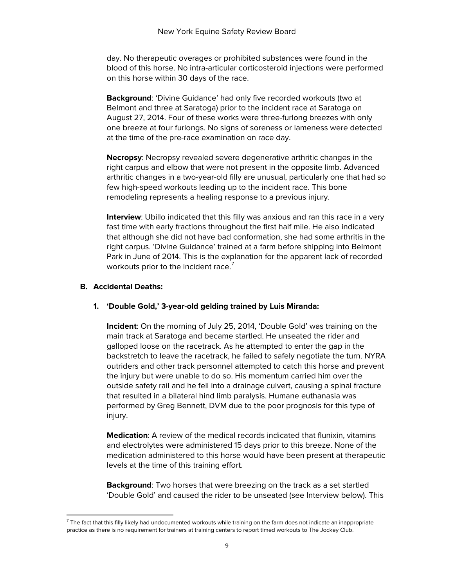day. No therapeutic overages or prohibited substances were found in the blood of this horse. No intra-articular corticosteroid injections were performed on this horse within 30 days of the race.

**Background**: 'Divine Guidance' had only five recorded workouts (two at Belmont and three at Saratoga) prior to the incident race at Saratoga on August 27, 2014. Four of these works were three-furlong breezes with only one breeze at four furlongs. No signs of soreness or lameness were detected at the time of the pre-race examination on race day.

**Necropsy**: Necropsy revealed severe degenerative arthritic changes in the right carpus and elbow that were not present in the opposite limb. Advanced arthritic changes in a two-year-old filly are unusual, particularly one that had so few high-speed workouts leading up to the incident race. This bone remodeling represents a healing response to a previous injury.

**Interview**: Ubillo indicated that this filly was anxious and ran this race in a very fast time with early fractions throughout the first half mile. He also indicated that although she did not have bad conformation, she had some arthritis in the right carpus. 'Divine Guidance' trained at a farm before shipping into Belmont Park in June of 2014. This is the explanation for the apparent lack of recorded workouts prior to the incident race.<sup>[7](#page-7-0)</sup>

## **B. Accidental Deaths:**

#### **1. 'Double Gold,' 3-year-old gelding trained by Luis Miranda:**

**Incident**: On the morning of July 25, 2014, 'Double Gold' was training on the main track at Saratoga and became startled. He unseated the rider and galloped loose on the racetrack. As he attempted to enter the gap in the backstretch to leave the racetrack, he failed to safely negotiate the turn. NYRA outriders and other track personnel attempted to catch this horse and prevent the injury but were unable to do so. His momentum carried him over the outside safety rail and he fell into a drainage culvert, causing a spinal fracture that resulted in a bilateral hind limb paralysis. Humane euthanasia was performed by Greg Bennett, DVM due to the poor prognosis for this type of injury.

**Medication**: A review of the medical records indicated that flunixin, vitamins and electrolytes were administered 15 days prior to this breeze. None of the medication administered to this horse would have been present at therapeutic levels at the time of this training effort.

**Background**: Two horses that were breezing on the track as a set startled 'Double Gold' and caused the rider to be unseated (see Interview below). This

<span id="page-8-0"></span> $<sup>7</sup>$  The fact that this filly likely had undocumented workouts while training on the farm does not indicate an inappropriate</sup> practice as there is no requirement for trainers at training centers to report timed workouts to The Jockey Club.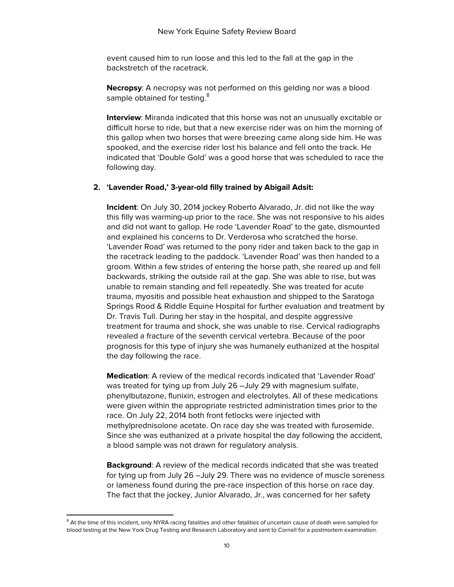event caused him to run loose and this led to the fall at the gap in the backstretch of the racetrack.

**Necropsy**: A necropsy was not performed on this gelding nor was a blood sample obtained for testing.<sup>[8](#page-8-0)</sup>

**Interview**: Miranda indicated that this horse was not an unusually excitable or difficult horse to ride, but that a new exercise rider was on him the morning of this gallop when two horses that were breezing came along side him. He was spooked, and the exercise rider lost his balance and fell onto the track. He indicated that 'Double Gold' was a good horse that was scheduled to race the following day.

## **2. 'Lavender Road,' 3-year-old filly trained by Abigail Adsit:**

**Incident**: On July 30, 2014 jockey Roberto Alvarado, Jr. did not like the way this filly was warming-up prior to the race. She was not responsive to his aides and did not want to gallop. He rode 'Lavender Road' to the gate, dismounted and explained his concerns to Dr. Verderosa who scratched the horse. 'Lavender Road' was returned to the pony rider and taken back to the gap in the racetrack leading to the paddock. 'Lavender Road' was then handed to a groom. Within a few strides of entering the horse path, she reared up and fell backwards, striking the outside rail at the gap. She was able to rise, but was unable to remain standing and fell repeatedly. She was treated for acute trauma, myositis and possible heat exhaustion and shipped to the Saratoga Springs Rood & Riddle Equine Hospital for further evaluation and treatment by Dr. Travis Tull. During her stay in the hospital, and despite aggressive treatment for trauma and shock, she was unable to rise. Cervical radiographs revealed a fracture of the seventh cervical vertebra. Because of the poor prognosis for this type of injury she was humanely euthanized at the hospital the day following the race.

**Medication**: A review of the medical records indicated that 'Lavender Road' was treated for tying up from July 26 –July 29 with magnesium sulfate, phenylbutazone, flunixin, estrogen and electrolytes. All of these medications were given within the appropriate restricted administration times prior to the race. On July 22, 2014 both front fetlocks were injected with methylprednisolone acetate. On race day she was treated with furosemide. Since she was euthanized at a private hospital the day following the accident, a blood sample was not drawn for regulatory analysis.

**Background**: A review of the medical records indicated that she was treated for tying up from July 26 –July 29. There was no evidence of muscle soreness or lameness found during the pre-race inspection of this horse on race day. The fact that the jockey, Junior Alvarado, Jr., was concerned for her safety

<span id="page-9-0"></span><sup>&</sup>lt;sup>8</sup> At the time of this incident, only NYRA racing fatalities and other fatalities of uncertain cause of death were sampled for blood testing at the New York Drug Testing and Research Laboratory and sent to Cornell for a postmortem examination.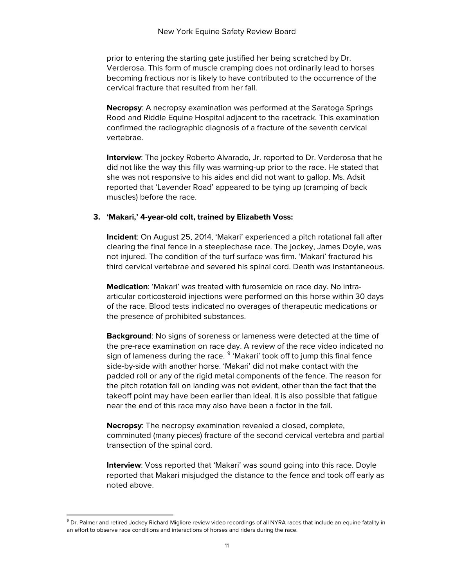prior to entering the starting gate justified her being scratched by Dr. Verderosa. This form of muscle cramping does not ordinarily lead to horses becoming fractious nor is likely to have contributed to the occurrence of the cervical fracture that resulted from her fall.

**Necropsy**: A necropsy examination was performed at the Saratoga Springs Rood and Riddle Equine Hospital adjacent to the racetrack. This examination confirmed the radiographic diagnosis of a fracture of the seventh cervical vertebrae.

**Interview**: The jockey Roberto Alvarado, Jr. reported to Dr. Verderosa that he did not like the way this filly was warming-up prior to the race. He stated that she was not responsive to his aides and did not want to gallop. Ms. Adsit reported that 'Lavender Road' appeared to be tying up (cramping of back muscles) before the race.

#### **3. 'Makari,' 4-year-old colt, trained by Elizabeth Voss:**

**Incident**: On August 25, 2014, 'Makari' experienced a pitch rotational fall after clearing the final fence in a steeplechase race. The jockey, James Doyle, was not injured. The condition of the turf surface was firm. 'Makari' fractured his third cervical vertebrae and severed his spinal cord. Death was instantaneous.

**Medication**: 'Makari' was treated with furosemide on race day. No intraarticular corticosteroid injections were performed on this horse within 30 days of the race. Blood tests indicated no overages of therapeutic medications or the presence of prohibited substances.

**Background**: No signs of soreness or lameness were detected at the time of the pre-race examination on race day. A review of the race video indicated no sign of lameness during the race. <sup>[9](#page-9-0)</sup> 'Makari' took off to jump this final fence side-by-side with another horse. 'Makari' did not make contact with the padded roll or any of the rigid metal components of the fence. The reason for the pitch rotation fall on landing was not evident, other than the fact that the takeoff point may have been earlier than ideal. It is also possible that fatigue near the end of this race may also have been a factor in the fall.

**Necropsy**: The necropsy examination revealed a closed, complete, comminuted (many pieces) fracture of the second cervical vertebra and partial transection of the spinal cord.

**Interview:** Voss reported that 'Makari' was sound going into this race. Doyle reported that Makari misjudged the distance to the fence and took off early as noted above.

<span id="page-10-0"></span><sup>&</sup>lt;sup>9</sup> Dr. Palmer and retired Jockey Richard Migliore review video recordings of all NYRA races that include an equine fatality in an effort to observe race conditions and interactions of horses and riders during the race.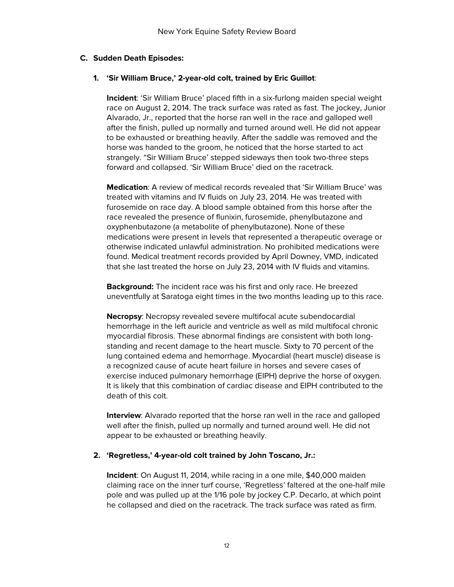## **C. Sudden Death Episodes:**

## **1. 'Sir William Bruce,' 2-year-old colt, trained by Eric Guillot**:

**Incident**: 'Sir William Bruce' placed fifth in a six-furlong maiden special weight race on August 2, 2014. The track surface was rated as fast. The jockey, Junior Alvarado, Jr., reported that the horse ran well in the race and galloped well after the finish, pulled up normally and turned around well. He did not appear to be exhausted or breathing heavily. After the saddle was removed and the horse was handed to the groom, he noticed that the horse started to act strangely. "Sir William Bruce' stepped sideways then took two-three steps forward and collapsed. 'Sir William Bruce' died on the racetrack.

**Medication**: A review of medical records revealed that 'Sir William Bruce' was treated with vitamins and IV fluids on July 23, 2014. He was treated with furosemide on race day. A blood sample obtained from this horse after the race revealed the presence of flunixin, furosemide, phenylbutazone and oxyphenbutazone (a metabolite of phenylbutazone). None of these medications were present in levels that represented a therapeutic overage or otherwise indicated unlawful administration. No prohibited medications were found. Medical treatment records provided by April Downey, VMD, indicated that she last treated the horse on July 23, 2014 with IV fluids and vitamins.

**Background:** The incident race was his first and only race. He breezed uneventfully at Saratoga eight times in the two months leading up to this race.

**Necropsy**: Necropsy revealed severe multifocal acute subendocardial hemorrhage in the left auricle and ventricle as well as mild multifocal chronic myocardial fibrosis. These abnormal findings are consistent with both longstanding and recent damage to the heart muscle. Sixty to 70 percent of the lung contained edema and hemorrhage. Myocardial (heart muscle) disease is a recognized cause of acute heart failure in horses and severe cases of exercise induced pulmonary hemorrhage (EIPH) deprive the horse of oxygen. It is likely that this combination of cardiac disease and EIPH contributed to the death of this colt.

**Interview**: Alvarado reported that the horse ran well in the race and galloped well after the finish, pulled up normally and turned around well. He did not appear to be exhausted or breathing heavily.

#### **2. 'Regretless,' 4-year-old colt trained by John Toscano, Jr.:**

**Incident**: On August 11, 2014, while racing in a one mile, \$40,000 maiden claiming race on the inner turf course, 'Regretless' faltered at the one-half mile pole and was pulled up at the 1/16 pole by jockey C.P. Decarlo, at which point he collapsed and died on the racetrack. The track surface was rated as firm.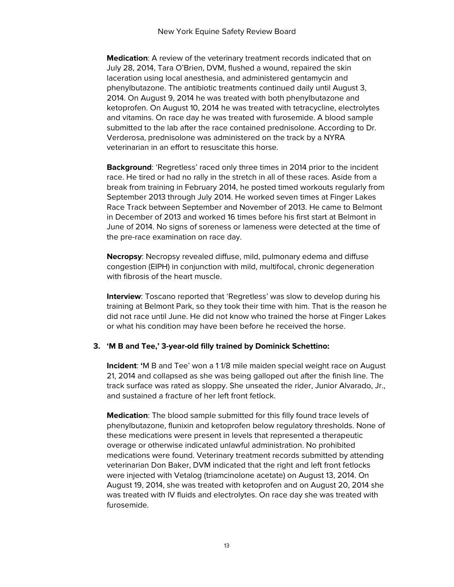**Medication**: A review of the veterinary treatment records indicated that on July 28, 2014, Tara O'Brien, DVM, flushed a wound, repaired the skin laceration using local anesthesia, and administered gentamycin and phenylbutazone. The antibiotic treatments continued daily until August 3, 2014. On August 9, 2014 he was treated with both phenylbutazone and ketoprofen. On August 10, 2014 he was treated with tetracycline, electrolytes and vitamins. On race day he was treated with furosemide. A blood sample submitted to the lab after the race contained prednisolone. According to Dr. Verderosa, prednisolone was administered on the track by a NYRA veterinarian in an effort to resuscitate this horse.

**Background**: 'Regretless' raced only three times in 2014 prior to the incident race. He tired or had no rally in the stretch in all of these races. Aside from a break from training in February 2014, he posted timed workouts regularly from September 2013 through July 2014. He worked seven times at Finger Lakes Race Track between September and November of 2013. He came to Belmont in December of 2013 and worked 16 times before his first start at Belmont in June of 2014. No signs of soreness or lameness were detected at the time of the pre-race examination on race day.

**Necropsy**: Necropsy revealed diffuse, mild, pulmonary edema and diffuse congestion (EIPH) in conjunction with mild, multifocal, chronic degeneration with fibrosis of the heart muscle.

**Interview**: Toscano reported that 'Regretless' was slow to develop during his training at Belmont Park, so they took their time with him. That is the reason he did not race until June. He did not know who trained the horse at Finger Lakes or what his condition may have been before he received the horse.

#### **3. 'M B and Tee,' 3-year-old filly trained by Dominick Schettino:**

**Incident**: **'**M B and Tee' won a 1 1/8 mile maiden special weight race on August 21, 2014 and collapsed as she was being galloped out after the finish line. The track surface was rated as sloppy. She unseated the rider, Junior Alvarado, Jr., and sustained a fracture of her left front fetlock.

**Medication**: The blood sample submitted for this filly found trace levels of phenylbutazone, flunixin and ketoprofen below regulatory thresholds. None of these medications were present in levels that represented a therapeutic overage or otherwise indicated unlawful administration. No prohibited medications were found. Veterinary treatment records submitted by attending veterinarian Don Baker, DVM indicated that the right and left front fetlocks were injected with Vetalog (triamcinolone acetate) on August 13, 2014. On August 19, 2014, she was treated with ketoprofen and on August 20, 2014 she was treated with IV fluids and electrolytes. On race day she was treated with furosemide.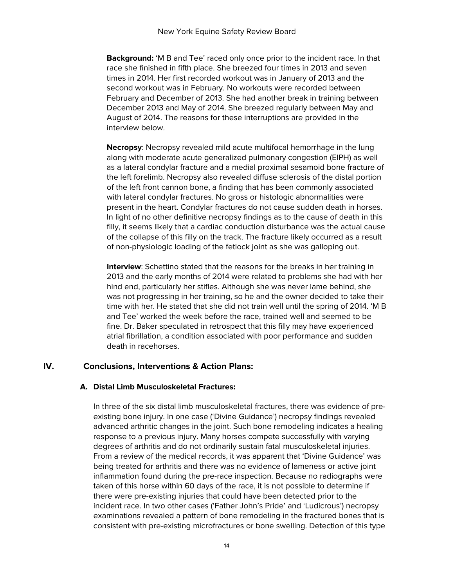**Background:** 'M B and Tee' raced only once prior to the incident race. In that race she finished in fifth place. She breezed four times in 2013 and seven times in 2014. Her first recorded workout was in January of 2013 and the second workout was in February. No workouts were recorded between February and December of 2013. She had another break in training between December 2013 and May of 2014. She breezed regularly between May and August of 2014. The reasons for these interruptions are provided in the interview below.

**Necropsy**: Necropsy revealed mild acute multifocal hemorrhage in the lung along with moderate acute generalized pulmonary congestion (EIPH) as well as a lateral condylar fracture and a medial proximal sesamoid bone fracture of the left forelimb. Necropsy also revealed diffuse sclerosis of the distal portion of the left front cannon bone, a finding that has been commonly associated with lateral condylar fractures. No gross or histologic abnormalities were present in the heart. Condylar fractures do not cause sudden death in horses. In light of no other definitive necropsy findings as to the cause of death in this filly, it seems likely that a cardiac conduction disturbance was the actual cause of the collapse of this filly on the track. The fracture likely occurred as a result of non-physiologic loading of the fetlock joint as she was galloping out.

**Interview:** Schettino stated that the reasons for the breaks in her training in 2013 and the early months of 2014 were related to problems she had with her hind end, particularly her stifles. Although she was never lame behind, she was not progressing in her training, so he and the owner decided to take their time with her. He stated that she did not train well until the spring of 2014. 'M B and Tee' worked the week before the race, trained well and seemed to be fine. Dr. Baker speculated in retrospect that this filly may have experienced atrial fibrillation, a condition associated with poor performance and sudden death in racehorses.

# **IV. Conclusions, Interventions & Action Plans:**

#### **A. Distal Limb Musculoskeletal Fractures:**

In three of the six distal limb musculoskeletal fractures, there was evidence of preexisting bone injury. In one case ('Divine Guidance') necropsy findings revealed advanced arthritic changes in the joint. Such bone remodeling indicates a healing response to a previous injury. Many horses compete successfully with varying degrees of arthritis and do not ordinarily sustain fatal musculoskeletal injuries. From a review of the medical records, it was apparent that 'Divine Guidance' was being treated for arthritis and there was no evidence of lameness or active joint inflammation found during the pre-race inspection. Because no radiographs were taken of this horse within 60 days of the race, it is not possible to determine if there were pre-existing injuries that could have been detected prior to the incident race. In two other cases ('Father John's Pride' and 'Ludicrous') necropsy examinations revealed a pattern of bone remodeling in the fractured bones that is consistent with pre-existing microfractures or bone swelling. Detection of this type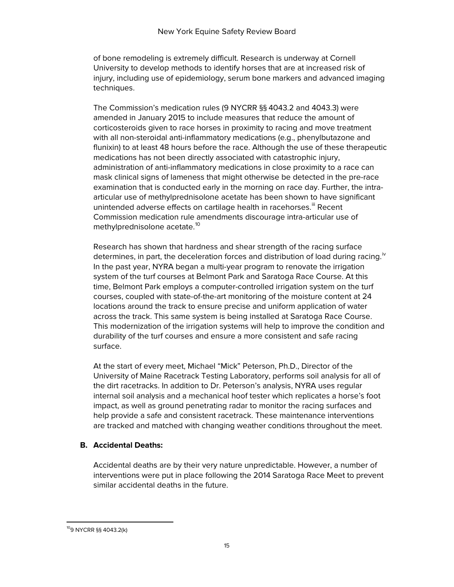of bone remodeling is extremely difficult. Research is underway at Cornell University to develop methods to identify horses that are at increased risk of injury, including use of epidemiology, serum bone markers and advanced imaging techniques.

The Commission's medication rules (9 NYCRR §§ 4043.2 and 4043.3) were amended in January 2015 to include measures that reduce the amount of corticosteroids given to race horses in proximity to racing and move treatment with all non-steroidal anti-inflammatory medications (e.g., phenylbutazone and flunixin) to at least 48 hours before the race. Although the use of these therapeutic medications has not been directly associated with catastrophic injury, administration of anti-inflammatory medications in close proximity to a race can mask clinical signs of lameness that might otherwise be detected in the pre-race examination that is conducted early in the morning on race day. Further, the intraarticular use of methylprednisolone acetate has been shown to have significant unintended adverse effects on cartilage health in racehorses.<sup>III</sup> Recent Commission medication rule amendments discourage intra-articular use of methylprednisolone acetate.<sup>[10](#page-10-0)</sup>

Research has shown that hardness and shear strength of the racing surface determines, in part, the deceleration forces and distribution of load during racing.<sup>[iv](#page-18-3)</sup> In the past year, NYRA began a multi-year program to renovate the irrigation system of the turf courses at Belmont Park and Saratoga Race Course. At this time, Belmont Park employs a computer-controlled irrigation system on the turf courses, coupled with state-of-the-art monitoring of the moisture content at 24 locations around the track to ensure precise and uniform application of water across the track. This same system is being installed at Saratoga Race Course. This modernization of the irrigation systems will help to improve the condition and durability of the turf courses and ensure a more consistent and safe racing surface.

At the start of every meet, Michael "Mick" Peterson, Ph.D., Director of the University of Maine Racetrack Testing Laboratory, performs soil analysis for all of the dirt racetracks. In addition to Dr. Peterson's analysis, NYRA uses regular internal soil analysis and a mechanical hoof tester which replicates a horse's foot impact, as well as ground penetrating radar to monitor the racing surfaces and help provide a safe and consistent racetrack. These maintenance interventions are tracked and matched with changing weather conditions throughout the meet.

## **B. Accidental Deaths:**

Accidental deaths are by their very nature unpredictable. However, a number of interventions were put in place following the 2014 Saratoga Race Meet to prevent similar accidental deaths in the future.

109 NYCRR §§ 4043.2(k)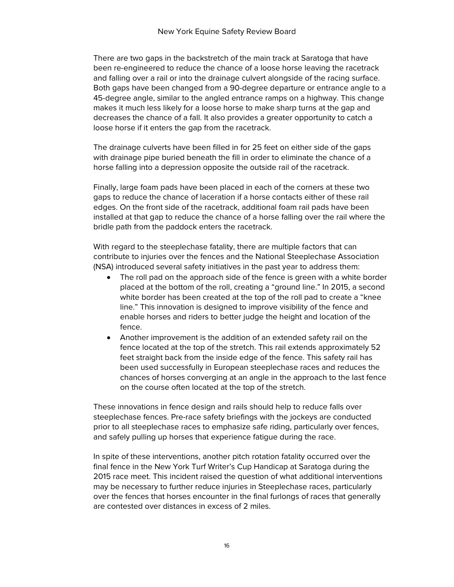There are two gaps in the backstretch of the main track at Saratoga that have been re-engineered to reduce the chance of a loose horse leaving the racetrack and falling over a rail or into the drainage culvert alongside of the racing surface. Both gaps have been changed from a 90-degree departure or entrance angle to a 45-degree angle, similar to the angled entrance ramps on a highway. This change makes it much less likely for a loose horse to make sharp turns at the gap and decreases the chance of a fall. It also provides a greater opportunity to catch a loose horse if it enters the gap from the racetrack.

The drainage culverts have been filled in for 25 feet on either side of the gaps with drainage pipe buried beneath the fill in order to eliminate the chance of a horse falling into a depression opposite the outside rail of the racetrack.

Finally, large foam pads have been placed in each of the corners at these two gaps to reduce the chance of laceration if a horse contacts either of these rail edges. On the front side of the racetrack, additional foam rail pads have been installed at that gap to reduce the chance of a horse falling over the rail where the bridle path from the paddock enters the racetrack.

With regard to the steeplechase fatality, there are multiple factors that can contribute to injuries over the fences and the National Steeplechase Association (NSA) introduced several safety initiatives in the past year to address them:

- The roll pad on the approach side of the fence is green with a white border placed at the bottom of the roll, creating a "ground line." In 2015, a second white border has been created at the top of the roll pad to create a "knee line." This innovation is designed to improve visibility of the fence and enable horses and riders to better judge the height and location of the fence.
- Another improvement is the addition of an extended safety rail on the fence located at the top of the stretch. This rail extends approximately 52 feet straight back from the inside edge of the fence. This safety rail has been used successfully in European steeplechase races and reduces the chances of horses converging at an angle in the approach to the last fence on the course often located at the top of the stretch.

These innovations in fence design and rails should help to reduce falls over steeplechase fences. Pre-race safety briefings with the jockeys are conducted prior to all steeplechase races to emphasize safe riding, particularly over fences, and safely pulling up horses that experience fatigue during the race.

In spite of these interventions, another pitch rotation fatality occurred over the final fence in the New York Turf Writer's Cup Handicap at Saratoga during the 2015 race meet. This incident raised the question of what additional interventions may be necessary to further reduce injuries in Steeplechase races, particularly over the fences that horses encounter in the final furlongs of races that generally are contested over distances in excess of 2 miles.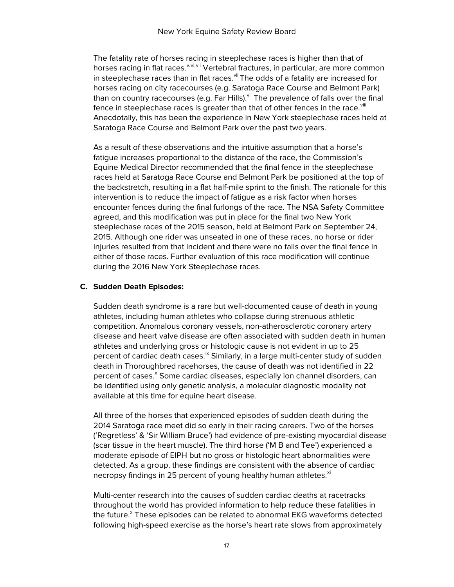The fatality rate of horses racing in steeplechase races is higher than that of horses racing in flat races. <sup>[v](#page-18-4).[vi](#page-18-5),[vii](#page-18-6)</sup> Vertebral fractures, in particular, are more common in steeplechase races than in flat races. Vii The odds of a fatality are increased for horses racing on city racecourses (e.g. Saratoga Race Course and Belmont Park) than on country racecourses (e.g. Far Hills).<sup>vii</sup> The prevalence of falls over the final fence in steeplechase races is greater than that of other fences in the race.<sup>vill</sup> Anecdotally, this has been the experience in New York steeplechase races held at Saratoga Race Course and Belmont Park over the past two years.

As a result of these observations and the intuitive assumption that a horse's fatigue increases proportional to the distance of the race, the Commission's Equine Medical Director recommended that the final fence in the steeplechase races held at Saratoga Race Course and Belmont Park be positioned at the top of the backstretch, resulting in a flat half-mile sprint to the finish. The rationale for this intervention is to reduce the impact of fatigue as a risk factor when horses encounter fences during the final furlongs of the race. The NSA Safety Committee agreed, and this modification was put in place for the final two New York steeplechase races of the 2015 season, held at Belmont Park on September 24, 2015. Although one rider was unseated in one of these races, no horse or rider injuries resulted from that incident and there were no falls over the final fence in either of those races. Further evaluation of this race modification will continue during the 2016 New York Steeplechase races.

## **C. Sudden Death Episodes:**

Sudden death syndrome is a rare but well-documented cause of death in young athletes, including human athletes who collapse during strenuous athletic competition. Anomalous coronary vessels, non-atherosclerotic coronary artery disease and heart valve disease are often associated with sudden death in human athletes and underlying gross or histologic cause is not evident in up to 25 percent of cardiac death cases. $\frac{1}{2}$  Similarly, in a large multi-center study of sudden death in Thoroughbred racehorses, the cause of death was not identified in 22 percent of cases.<sup>×</sup> Some cardiac diseases, especially ion channel disorders, can be identified using only genetic analysis, a molecular diagnostic modality not available at this time for equine heart disease.

All three of the horses that experienced episodes of sudden death during the 2014 Saratoga race meet did so early in their racing careers. Two of the horses ('Regretless' & 'Sir William Bruce') had evidence of pre-existing myocardial disease (scar tissue in the heart muscle). The third horse ('M B and Tee') experienced a moderate episode of EIPH but no gross or histologic heart abnormalities were detected. As a group, these findings are consistent with the absence of cardiac necropsy findings in 25 percent of young healthy human athletes. $x_i$ 

Multi-center research into the causes of sudden cardiac deaths at racetracks throughout the world has provided information to help reduce these fatalities in the future.<sup>x</sup> These episodes can be related to abnormal EKG waveforms detected following high-speed exercise as the horse's heart rate slows from approximately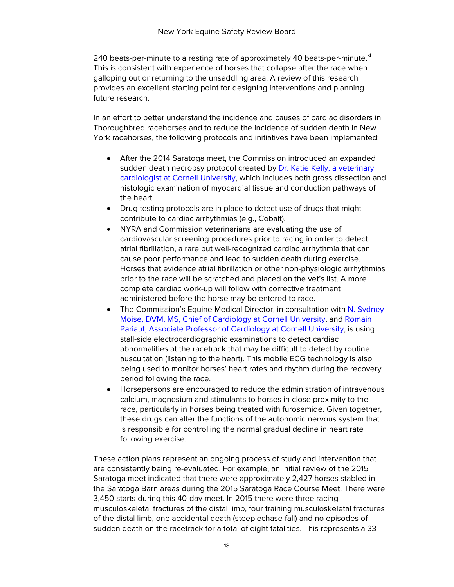240 beats-per-minute to a resting rate of approximately 40 beats-per-minute. $x^{i}$ This is consistent with experience of horses that collapse after the race when galloping out or returning to the unsaddling area. A review of this research provides an excellent starting point for designing interventions and planning future research.

In an effort to better understand the incidence and causes of cardiac disorders in Thoroughbred racehorses and to reduce the incidence of sudden death in New York racehorses, the following protocols and initiatives have been implemented:

- After the 2014 Saratoga meet, the Commission introduced an expanded sudden death necropsy protocol created by [Dr. Katie Kelly, a veterinary](http://www.vet.cornell.edu/biosci/people/DrKatieKelly.cfm)  [cardiologist at Cornell University,](http://www.vet.cornell.edu/biosci/people/DrKatieKelly.cfm) which includes both gross dissection and histologic examination of myocardial tissue and conduction pathways of the heart.
- Drug testing protocols are in place to detect use of drugs that might contribute to cardiac arrhythmias (e.g., Cobalt).
- NYRA and Commission veterinarians are evaluating the use of cardiovascular screening procedures prior to racing in order to detect atrial fibrillation, a rare but well-recognized cardiac arrhythmia that can cause poor performance and lead to sudden death during exercise. Horses that evidence atrial fibrillation or other non-physiologic arrhythmias prior to the race will be scratched and placed on the vet's list. A more complete cardiac work-up will follow with corrective treatment administered before the horse may be entered to race.
- The Commission's Equine Medical Director, in consultation with N. Sydney Moise, DVM, MS, [Chief of Cardiology at Cornell University,](http://www.vet.cornell.edu/faculty/moise/) and [Romain](http://www.vet.cornell.edu/faculty/pariaut/index.cfm)  [Pariaut, Associate Professor of Cardiology at Cornell University,](http://www.vet.cornell.edu/faculty/pariaut/index.cfm) is using stall-side electrocardiographic examinations to detect cardiac abnormalities at the racetrack that may be difficult to detect by routine auscultation (listening to the heart). This mobile ECG technology is also being used to monitor horses' heart rates and rhythm during the recovery period following the race.
- Horsepersons are encouraged to reduce the administration of intravenous calcium, magnesium and stimulants to horses in close proximity to the race, particularly in horses being treated with furosemide. Given together, these drugs can alter the functions of the autonomic nervous system that is responsible for controlling the normal gradual decline in heart rate following exercise.

These action plans represent an ongoing process of study and intervention that are consistently being re-evaluated. For example, an initial review of the 2015 Saratoga meet indicated that there were approximately 2,427 horses stabled in the Saratoga Barn areas during the 2015 Saratoga Race Course Meet. There were 3,450 starts during this 40-day meet. In 2015 there were three racing musculoskeletal fractures of the distal limb, four training musculoskeletal fractures of the distal limb, one accidental death (steeplechase fall) and no episodes of sudden death on the racetrack for a total of eight fatalities. This represents a 33